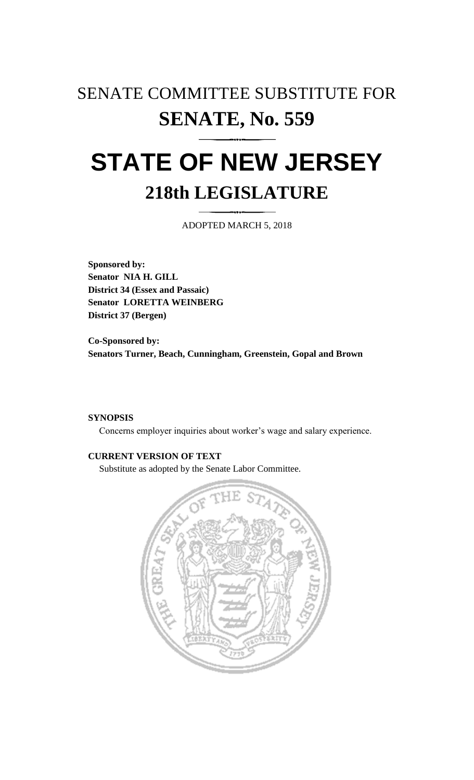## SENATE COMMITTEE SUBSTITUTE FOR **SENATE, No. 559**

# **STATE OF NEW JERSEY 218th LEGISLATURE**

ADOPTED MARCH 5, 2018

**Sponsored by: Senator NIA H. GILL District 34 (Essex and Passaic) Senator LORETTA WEINBERG District 37 (Bergen)**

**Co-Sponsored by: Senators Turner, Beach, Cunningham, Greenstein, Gopal and Brown**

#### **SYNOPSIS**

Concerns employer inquiries about worker's wage and salary experience.

### **CURRENT VERSION OF TEXT**

Substitute as adopted by the Senate Labor Committee.

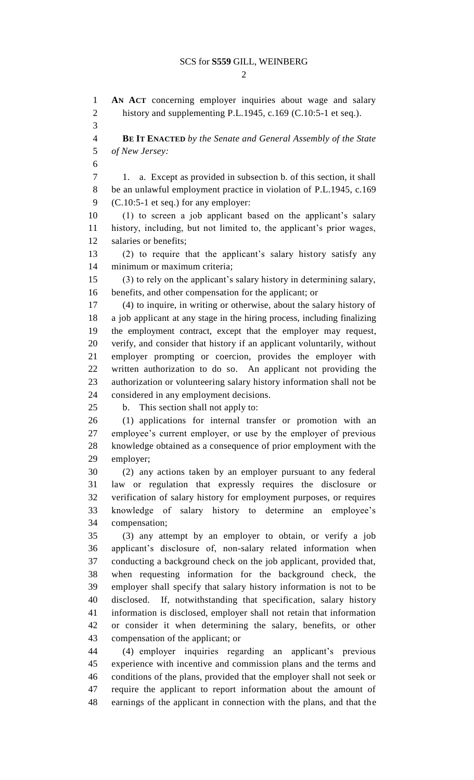#### SCS for **S559** GILL, WEINBERG

 $\mathcal{D}_{\mathcal{L}}$ 

 **AN ACT** concerning employer inquiries about wage and salary 2 history and supplementing P.L.1945, c.169 (C.10:5-1 et seq.). **BE IT ENACTED** *by the Senate and General Assembly of the State of New Jersey:* 1. a. Except as provided in subsection b. of this section, it shall be an unlawful employment practice in violation of P.L.1945, c.169 (C.10:5-1 et seq.) for any employer: (1) to screen a job applicant based on the applicant's salary history, including, but not limited to, the applicant's prior wages, salaries or benefits; (2) to require that the applicant's salary history satisfy any minimum or maximum criteria; (3) to rely on the applicant's salary history in determining salary, benefits, and other compensation for the applicant; or (4) to inquire, in writing or otherwise, about the salary history of a job applicant at any stage in the hiring process, including finalizing the employment contract, except that the employer may request, verify, and consider that history if an applicant voluntarily, without employer prompting or coercion, provides the employer with written authorization to do so. An applicant not providing the authorization or volunteering salary history information shall not be considered in any employment decisions. b. This section shall not apply to: (1) applications for internal transfer or promotion with an employee's current employer, or use by the employer of previous knowledge obtained as a consequence of prior employment with the employer; (2) any actions taken by an employer pursuant to any federal law or regulation that expressly requires the disclosure or verification of salary history for employment purposes, or requires knowledge of salary history to determine an employee's compensation; (3) any attempt by an employer to obtain, or verify a job applicant's disclosure of, non-salary related information when conducting a background check on the job applicant, provided that, when requesting information for the background check, the employer shall specify that salary history information is not to be disclosed. If, notwithstanding that specification, salary history information is disclosed, employer shall not retain that information or consider it when determining the salary, benefits, or other compensation of the applicant; or (4) employer inquiries regarding an applicant's previous experience with incentive and commission plans and the terms and conditions of the plans, provided that the employer shall not seek or require the applicant to report information about the amount of earnings of the applicant in connection with the plans, and that the